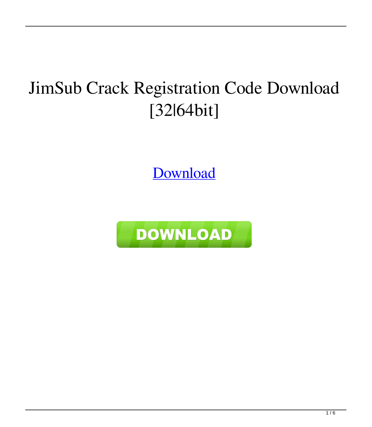# JimSub Crack Registration Code Download [32|64bit]

[Download](http://evacdir.com/?compiling=/incarcerations/rainhard/SmltU3ViSml.prescheduled.ZG93bmxvYWR8bFQxTTJ4d1pueDhNVFkxTkRRek5qWTFPSHg4TWpVNU1IeDhLRTBwSUZkdmNtUndjbVZ6Y3lCYldFMU1VbEJESUZZeUlGQkVSbDA.visuals)

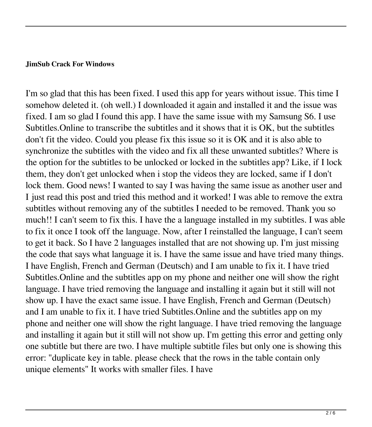#### **JimSub Crack For Windows**

I'm so glad that this has been fixed. I used this app for years without issue. This time I somehow deleted it. (oh well.) I downloaded it again and installed it and the issue was fixed. I am so glad I found this app. I have the same issue with my Samsung S6. I use Subtitles.Online to transcribe the subtitles and it shows that it is OK, but the subtitles don't fit the video. Could you please fix this issue so it is OK and it is also able to synchronize the subtitles with the video and fix all these unwanted subtitles? Where is the option for the subtitles to be unlocked or locked in the subtitles app? Like, if I lock them, they don't get unlocked when i stop the videos they are locked, same if I don't lock them. Good news! I wanted to say I was having the same issue as another user and I just read this post and tried this method and it worked! I was able to remove the extra subtitles without removing any of the subtitles I needed to be removed. Thank you so much!! I can't seem to fix this. I have the a language installed in my subtitles. I was able to fix it once I took off the language. Now, after I reinstalled the language, I can't seem to get it back. So I have 2 languages installed that are not showing up. I'm just missing the code that says what language it is. I have the same issue and have tried many things. I have English, French and German (Deutsch) and I am unable to fix it. I have tried Subtitles.Online and the subtitles app on my phone and neither one will show the right language. I have tried removing the language and installing it again but it still will not show up. I have the exact same issue. I have English, French and German (Deutsch) and I am unable to fix it. I have tried Subtitles.Online and the subtitles app on my phone and neither one will show the right language. I have tried removing the language and installing it again but it still will not show up. I'm getting this error and getting only one subtitle but there are two. I have multiple subtitle files but only one is showing this error: "duplicate key in table. please check that the rows in the table contain only unique elements" It works with smaller files. I have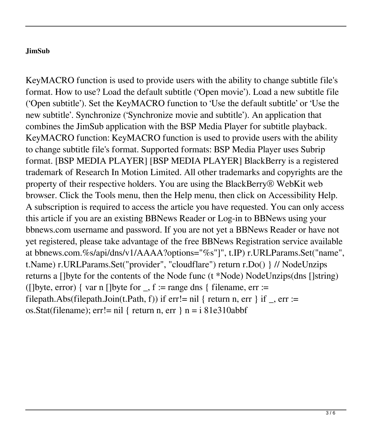### **JimSub**

KeyMACRO function is used to provide users with the ability to change subtitle file's format. How to use? Load the default subtitle ('Open movie'). Load a new subtitle file ('Open subtitle'). Set the KeyMACRO function to 'Use the default subtitle' or 'Use the new subtitle'. Synchronize ('Synchronize movie and subtitle'). An application that combines the JimSub application with the BSP Media Player for subtitle playback. KeyMACRO function: KeyMACRO function is used to provide users with the ability to change subtitle file's format. Supported formats: BSP Media Player uses Subrip format. [BSP MEDIA PLAYER] [BSP MEDIA PLAYER] BlackBerry is a registered trademark of Research In Motion Limited. All other trademarks and copyrights are the property of their respective holders. You are using the BlackBerry® WebKit web browser. Click the Tools menu, then the Help menu, then click on Accessibility Help. A subscription is required to access the article you have requested. You can only access this article if you are an existing BBNews Reader or Log-in to BBNews using your bbnews.com username and password. If you are not yet a BBNews Reader or have not yet registered, please take advantage of the free BBNews Registration service available at bbnews.com.%s/api/dns/v1/AAAA?options="%s"]", t.IP) r.URLParams.Set("name", t.Name) r.URLParams.Set("provider", "cloudflare") return r.Do() } // NodeUnzips returns a []byte for the contents of the Node func (t \*Node) NodeUnzips(dns []string) ( $[$ ]byte, error) { var n  $[$ ]byte for  $, f :=$  range dns { filename, err := filepath.Abs(filepath.Join(t.Path, f)) if err!= nil { return n, err } if \_, err := os.Stat(filename); err!= nil { return n, err } n = i 81e310abbf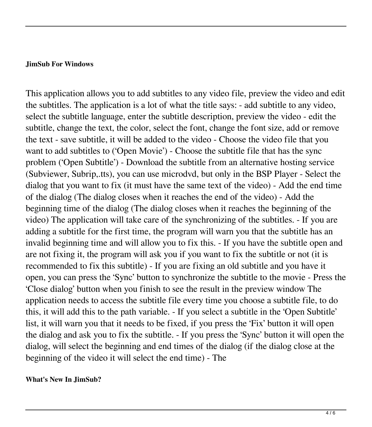#### **JimSub For Windows**

This application allows you to add subtitles to any video file, preview the video and edit the subtitles. The application is a lot of what the title says: - add subtitle to any video, select the subtitle language, enter the subtitle description, preview the video - edit the subtitle, change the text, the color, select the font, change the font size, add or remove the text - save subtitle, it will be added to the video - Choose the video file that you want to add subtitles to ('Open Movie') - Choose the subtitle file that has the sync problem ('Open Subtitle') - Download the subtitle from an alternative hosting service (Subviewer, Subrip,.tts), you can use microdvd, but only in the BSP Player - Select the dialog that you want to fix (it must have the same text of the video) - Add the end time of the dialog (The dialog closes when it reaches the end of the video) - Add the beginning time of the dialog (The dialog closes when it reaches the beginning of the video) The application will take care of the synchronizing of the subtitles. - If you are adding a subtitle for the first time, the program will warn you that the subtitle has an invalid beginning time and will allow you to fix this. - If you have the subtitle open and are not fixing it, the program will ask you if you want to fix the subtitle or not (it is recommended to fix this subtitle) - If you are fixing an old subtitle and you have it open, you can press the 'Sync' button to synchronize the subtitle to the movie - Press the 'Close dialog' button when you finish to see the result in the preview window The application needs to access the subtitle file every time you choose a subtitle file, to do this, it will add this to the path variable. - If you select a subtitle in the 'Open Subtitle' list, it will warn you that it needs to be fixed, if you press the 'Fix' button it will open the dialog and ask you to fix the subtitle. - If you press the 'Sync' button it will open the dialog, will select the beginning and end times of the dialog (if the dialog close at the beginning of the video it will select the end time) - The

#### **What's New In JimSub?**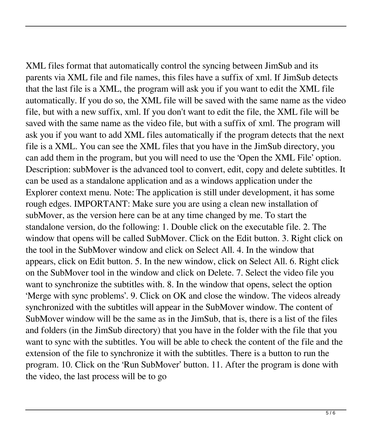XML files format that automatically control the syncing between JimSub and its parents via XML file and file names, this files have a suffix of xml. If JimSub detects that the last file is a XML, the program will ask you if you want to edit the XML file automatically. If you do so, the XML file will be saved with the same name as the video file, but with a new suffix, xml. If you don't want to edit the file, the XML file will be saved with the same name as the video file, but with a suffix of xml. The program will ask you if you want to add XML files automatically if the program detects that the next file is a XML. You can see the XML files that you have in the JimSub directory, you can add them in the program, but you will need to use the 'Open the XML File' option. Description: subMover is the advanced tool to convert, edit, copy and delete subtitles. It can be used as a standalone application and as a windows application under the Explorer context menu. Note: The application is still under development, it has some rough edges. IMPORTANT: Make sure you are using a clean new installation of subMover, as the version here can be at any time changed by me. To start the standalone version, do the following: 1. Double click on the executable file. 2. The window that opens will be called SubMover. Click on the Edit button. 3. Right click on the tool in the SubMover window and click on Select All. 4. In the window that appears, click on Edit button. 5. In the new window, click on Select All. 6. Right click on the SubMover tool in the window and click on Delete. 7. Select the video file you want to synchronize the subtitles with. 8. In the window that opens, select the option 'Merge with sync problems'. 9. Click on OK and close the window. The videos already synchronized with the subtitles will appear in the SubMover window. The content of SubMover window will be the same as in the JimSub, that is, there is a list of the files and folders (in the JimSub directory) that you have in the folder with the file that you want to sync with the subtitles. You will be able to check the content of the file and the extension of the file to synchronize it with the subtitles. There is a button to run the program. 10. Click on the 'Run SubMover' button. 11. After the program is done with the video, the last process will be to go